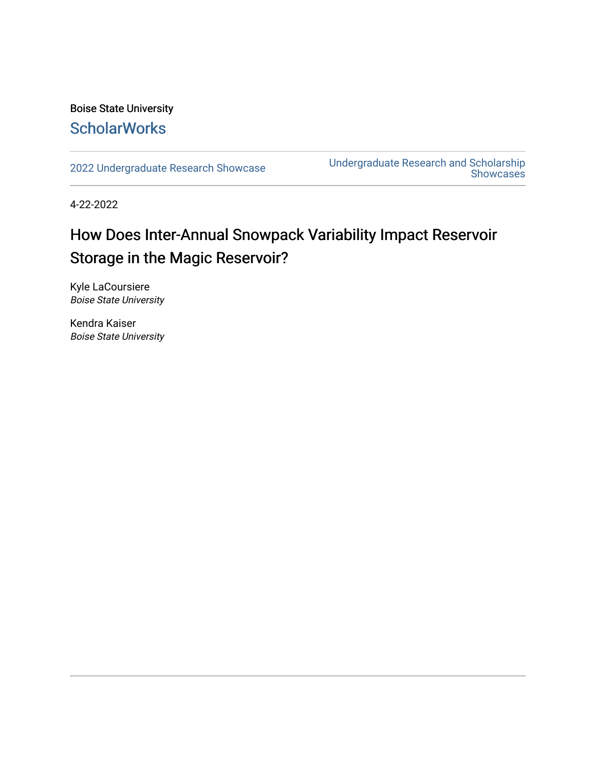#### Boise State University **ScholarWorks**

[2022 Undergraduate Research Showcase](https://scholarworks.boisestate.edu/under_showcase_2022) [Undergraduate Research and Scholarship](https://scholarworks.boisestate.edu/under_conference)  Showcases

4-22-2022

#### How Does Inter-Annual Snowpack Variability Impact Reservoir Storage in the Magic Reservoir?

Kyle LaCoursiere Boise State University

Kendra Kaiser Boise State University